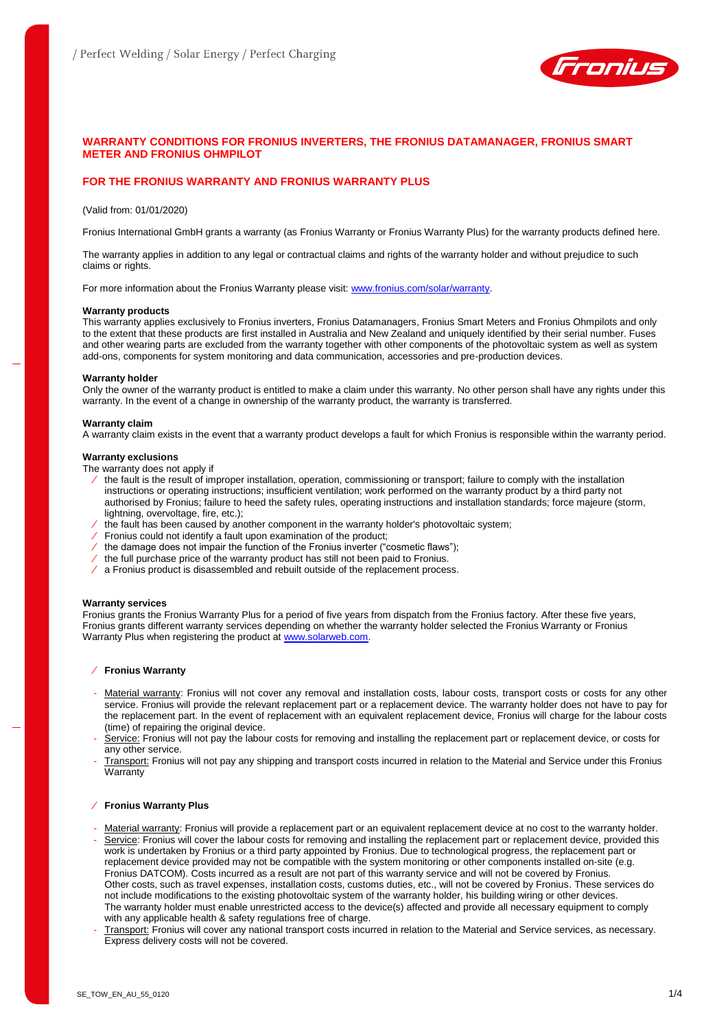

# **WARRANTY CONDITIONS FOR FRONIUS INVERTERS, THE FRONIUS DATAMANAGER, FRONIUS SMART METER AND FRONIUS OHMPILOT**

# **FOR THE FRONIUS WARRANTY AND FRONIUS WARRANTY PLUS**

### (Valid from: 01/01/2020)

Fronius International GmbH grants a warranty (as Fronius Warranty or Fronius Warranty Plus) for the warranty products defined here.

The warranty applies in addition to any legal or contractual claims and rights of the warranty holder and without prejudice to such claims or rights.

For more information about the Fronius Warranty please visit: [www.fronius.com/solar/warranty.](http://www.fronius.com/Solar/Warranty)

#### **Warranty products**

This warranty applies exclusively to Fronius inverters, Fronius Datamanagers, Fronius Smart Meters and Fronius Ohmpilots and only to the extent that these products are first installed in Australia and New Zealand and uniquely identified by their serial number. Fuses and other wearing parts are excluded from the warranty together with other components of the photovoltaic system as well as system add-ons, components for system monitoring and data communication, accessories and pre-production devices.

#### **Warranty holder**

Only the owner of the warranty product is entitled to make a claim under this warranty. No other person shall have any rights under this warranty. In the event of a change in ownership of the warranty product, the warranty is transferred.

#### **Warranty claim**

A warranty claim exists in the event that a warranty product develops a fault for which Fronius is responsible within the warranty period.

#### **Warranty exclusions**

The warranty does not apply if

- ⁄ the fault is the result of improper installation, operation, commissioning or transport; failure to comply with the installation instructions or operating instructions; insufficient ventilation; work performed on the warranty product by a third party not authorised by Fronius; failure to heed the safety rules, operating instructions and installation standards; force majeure (storm, lightning, overvoltage, fire, etc.);
- $/$  the fault has been caused by another component in the warranty holder's photovoltaic system;
- ⁄ Fronius could not identify a fault upon examination of the product;
- ⁄ the damage does not impair the function of the Fronius inverter ("cosmetic flaws");
- ⁄ the full purchase price of the warranty product has still not been paid to Fronius.
- ⁄ a Fronius product is disassembled and rebuilt outside of the replacement process.

#### **Warranty services**

Fronius grants the Fronius Warranty Plus for a period of five years from dispatch from the Fronius factory. After these five years, Fronius grants different warranty services depending on whether the warranty holder selected the Fronius Warranty or Fronius Warranty Plus when registering the product at [www.solarweb.com.](http://www.solarweb.com/)

#### ⁄ **Fronius Warranty**

- Material warranty: Fronius will not cover any removal and installation costs, labour costs, transport costs or costs for any other service. Fronius will provide the relevant replacement part or a replacement device. The warranty holder does not have to pay for the replacement part. In the event of replacement with an equivalent replacement device, Fronius will charge for the labour costs (time) of repairing the original device.
- Service: Fronius will not pay the labour costs for removing and installing the replacement part or replacement device, or costs for any other service.
- Transport: Fronius will not pay any shipping and transport costs incurred in relation to the Material and Service under this Fronius **Warranty**

#### ⁄ **Fronius Warranty Plus**

- Material warranty: Fronius will provide a replacement part or an equivalent replacement device at no cost to the warranty holder. Service: Fronius will cover the labour costs for removing and installing the replacement part or replacement device, provided this work is undertaken by Fronius or a third party appointed by Fronius. Due to technological progress, the replacement part or replacement device provided may not be compatible with the system monitoring or other components installed on-site (e.g. Fronius DATCOM). Costs incurred as a result are not part of this warranty service and will not be covered by Fronius. Other costs, such as travel expenses, installation costs, customs duties, etc., will not be covered by Fronius. These services do not include modifications to the existing photovoltaic system of the warranty holder, his building wiring or other devices. The warranty holder must enable unrestricted access to the device(s) affected and provide all necessary equipment to comply with any applicable health & safety regulations free of charge.
- Transport: Fronius will cover any national transport costs incurred in relation to the Material and Service services, as necessary. Express delivery costs will not be covered.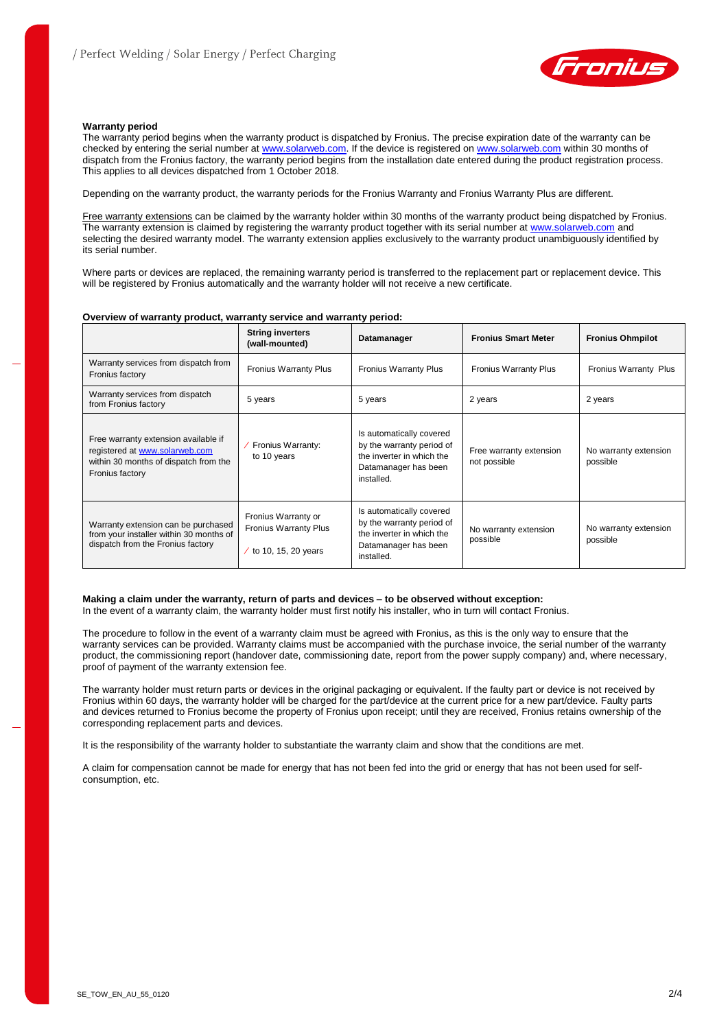

## **Warranty period**

The warranty period begins when the warranty product is dispatched by Fronius. The precise expiration date of the warranty can be checked by entering the serial number a[t www.solarweb.com.](http://www.solarweb.com/) If the device is registered on [www.solarweb.com](http://www.solarweb.com/) within 30 months of dispatch from the Fronius factory, the warranty period begins from the installation date entered during the product registration process. This applies to all devices dispatched from 1 October 2018.

Depending on the warranty product, the warranty periods for the Fronius Warranty and Fronius Warranty Plus are different.

Free warranty extensions can be claimed by the warranty holder within 30 months of the warranty product being dispatched by Fronius. The warranty extension is claimed by registering the warranty product together with its serial number at [www.solarweb.com](http://www.solarweb.com/) and selecting the desired warranty model. The warranty extension applies exclusively to the warranty product unambiguously identified by its serial number.

Where parts or devices are replaced, the remaining warranty period is transferred to the replacement part or replacement device. This will be registered by Fronius automatically and the warranty holder will not receive a new certificate.

#### **Overview of warranty product, warranty service and warranty period:**

|                                                                                                                                    | <b>String inverters</b><br>(wall-mounted)                                  | Datamanager                                                                                                              | <b>Fronius Smart Meter</b>              | <b>Fronius Ohmpilot</b>           |
|------------------------------------------------------------------------------------------------------------------------------------|----------------------------------------------------------------------------|--------------------------------------------------------------------------------------------------------------------------|-----------------------------------------|-----------------------------------|
| Warranty services from dispatch from<br>Fronius factory                                                                            | <b>Fronius Warranty Plus</b>                                               | <b>Fronius Warranty Plus</b>                                                                                             | <b>Fronius Warranty Plus</b>            | Fronius Warranty Plus             |
| Warranty services from dispatch<br>from Fronius factory                                                                            | 5 years                                                                    | 5 years                                                                                                                  | 2 years                                 | 2 years                           |
| Free warranty extension available if<br>registered at www.solarweb.com<br>within 30 months of dispatch from the<br>Fronius factory | Fronius Warranty:<br>to 10 years                                           | Is automatically covered<br>by the warranty period of<br>the inverter in which the<br>Datamanager has been<br>installed. | Free warranty extension<br>not possible | No warranty extension<br>possible |
| Warranty extension can be purchased<br>from your installer within 30 months of<br>dispatch from the Fronius factory                | Fronius Warranty or<br><b>Fronius Warranty Plus</b><br>to 10, 15, 20 years | Is automatically covered<br>by the warranty period of<br>the inverter in which the<br>Datamanager has been<br>installed. | No warranty extension<br>possible       | No warranty extension<br>possible |

**Making a claim under the warranty, return of parts and devices – to be observed without exception:** In the event of a warranty claim, the warranty holder must first notify his installer, who in turn will contact Fronius.

The procedure to follow in the event of a warranty claim must be agreed with Fronius, as this is the only way to ensure that the warranty services can be provided. Warranty claims must be accompanied with the purchase invoice, the serial number of the warranty product, the commissioning report (handover date, commissioning date, report from the power supply company) and, where necessary, proof of payment of the warranty extension fee.

The warranty holder must return parts or devices in the original packaging or equivalent. If the faulty part or device is not received by Fronius within 60 days, the warranty holder will be charged for the part/device at the current price for a new part/device. Faulty parts and devices returned to Fronius become the property of Fronius upon receipt; until they are received, Fronius retains ownership of the corresponding replacement parts and devices.

It is the responsibility of the warranty holder to substantiate the warranty claim and show that the conditions are met.

A claim for compensation cannot be made for energy that has not been fed into the grid or energy that has not been used for selfconsumption, etc.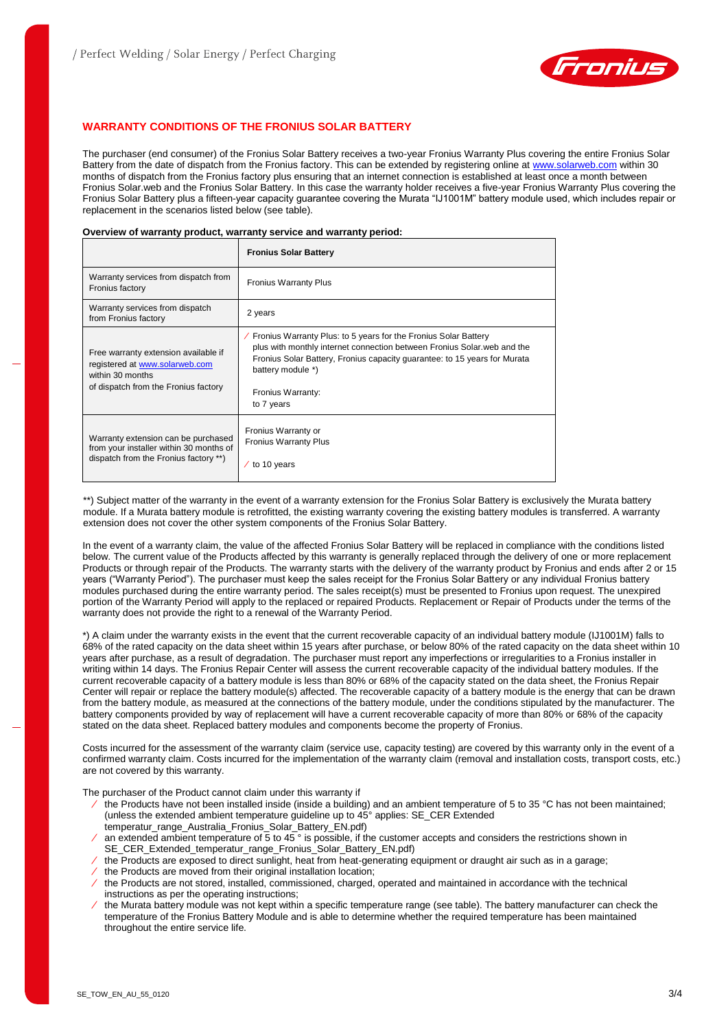

# **WARRANTY CONDITIONS OF THE FRONIUS SOLAR BATTERY**

The purchaser (end consumer) of the Fronius Solar Battery receives a two-year Fronius Warranty Plus covering the entire Fronius Solar Battery from the date of dispatch from the Fronius factory. This can be extended by registering online a[t www.solarweb.com](http://www.solarweb.com/) within 30 months of dispatch from the Fronius factory plus ensuring that an internet connection is established at least once a month between Fronius Solar.web and the Fronius Solar Battery. In this case the warranty holder receives a five-year Fronius Warranty Plus covering the Fronius Solar Battery plus a fifteen-year capacity guarantee covering the Murata "IJ1001M" battery module used, which includes repair or replacement in the scenarios listed below (see table).

### **Overview of warranty product, warranty service and warranty period:**

|                                                                                                                                    | <b>Fronius Solar Battery</b>                                                                                                                                                                                                                                                      |
|------------------------------------------------------------------------------------------------------------------------------------|-----------------------------------------------------------------------------------------------------------------------------------------------------------------------------------------------------------------------------------------------------------------------------------|
| Warranty services from dispatch from<br>Fronius factory                                                                            | <b>Fronius Warranty Plus</b>                                                                                                                                                                                                                                                      |
| Warranty services from dispatch<br>from Fronius factory                                                                            | 2 years                                                                                                                                                                                                                                                                           |
| Free warranty extension available if<br>registered at www.solarweb.com<br>within 30 months<br>of dispatch from the Fronius factory | / Fronius Warranty Plus: to 5 years for the Fronius Solar Battery<br>plus with monthly internet connection between Fronius Solar web and the<br>Fronius Solar Battery, Fronius capacity quarantee: to 15 years for Murata<br>battery module *)<br>Fronius Warranty:<br>to 7 years |
| Warranty extension can be purchased<br>from your installer within 30 months of<br>dispatch from the Fronius factory **)            | Fronius Warranty or<br><b>Fronius Warranty Plus</b><br>$/$ to 10 years                                                                                                                                                                                                            |

\*\*) Subject matter of the warranty in the event of a warranty extension for the Fronius Solar Battery is exclusively the Murata battery module. If a Murata battery module is retrofitted, the existing warranty covering the existing battery modules is transferred. A warranty extension does not cover the other system components of the Fronius Solar Battery.

In the event of a warranty claim, the value of the affected Fronius Solar Battery will be replaced in compliance with the conditions listed below. The current value of the Products affected by this warranty is generally replaced through the delivery of one or more replacement Products or through repair of the Products. The warranty starts with the delivery of the warranty product by Fronius and ends after 2 or 15 years ("Warranty Period"). The purchaser must keep the sales receipt for the Fronius Solar Battery or any individual Fronius battery modules purchased during the entire warranty period. The sales receipt(s) must be presented to Fronius upon request. The unexpired portion of the Warranty Period will apply to the replaced or repaired Products. Replacement or Repair of Products under the terms of the warranty does not provide the right to a renewal of the Warranty Period.

\*) A claim under the warranty exists in the event that the current recoverable capacity of an individual battery module (IJ1001M) falls to 68% of the rated capacity on the data sheet within 15 years after purchase, or below 80% of the rated capacity on the data sheet within 10 years after purchase, as a result of degradation. The purchaser must report any imperfections or irregularities to a Fronius installer in writing within 14 days. The Fronius Repair Center will assess the current recoverable capacity of the individual battery modules. If the current recoverable capacity of a battery module is less than 80% or 68% of the capacity stated on the data sheet, the Fronius Repair Center will repair or replace the battery module(s) affected. The recoverable capacity of a battery module is the energy that can be drawn from the battery module, as measured at the connections of the battery module, under the conditions stipulated by the manufacturer. The battery components provided by way of replacement will have a current recoverable capacity of more than 80% or 68% of the capacity stated on the data sheet. Replaced battery modules and components become the property of Fronius.

Costs incurred for the assessment of the warranty claim (service use, capacity testing) are covered by this warranty only in the event of a confirmed warranty claim. Costs incurred for the implementation of the warranty claim (removal and installation costs, transport costs, etc.) are not covered by this warranty.

The purchaser of the Product cannot claim under this warranty if

- ⁄ the Products have not been installed inside (inside a building) and an ambient temperature of 5 to 35 °C has not been maintained; (unless the extended ambient temperature guideline up to 45° applies: SE\_CER Extended temperatur\_range\_Australia\_Fronius\_Solar\_Battery\_EN.pdf)
- ⁄ an extended ambient temperature of 5 to 45 ° is possible, if the customer accepts and considers the restrictions shown in SE\_CER\_Extended\_temperatur\_range\_Fronius\_Solar\_Battery\_EN.pdf)
- ⁄ the Products are exposed to direct sunlight, heat from heat-generating equipment or draught air such as in a garage;
- ⁄ the Products are moved from their original installation location;
- ⁄ the Products are not stored, installed, commissioned, charged, operated and maintained in accordance with the technical instructions as per the operating instructions;
- ⁄ the Murata battery module was not kept within a specific temperature range (see table). The battery manufacturer can check the temperature of the Fronius Battery Module and is able to determine whether the required temperature has been maintained throughout the entire service life.